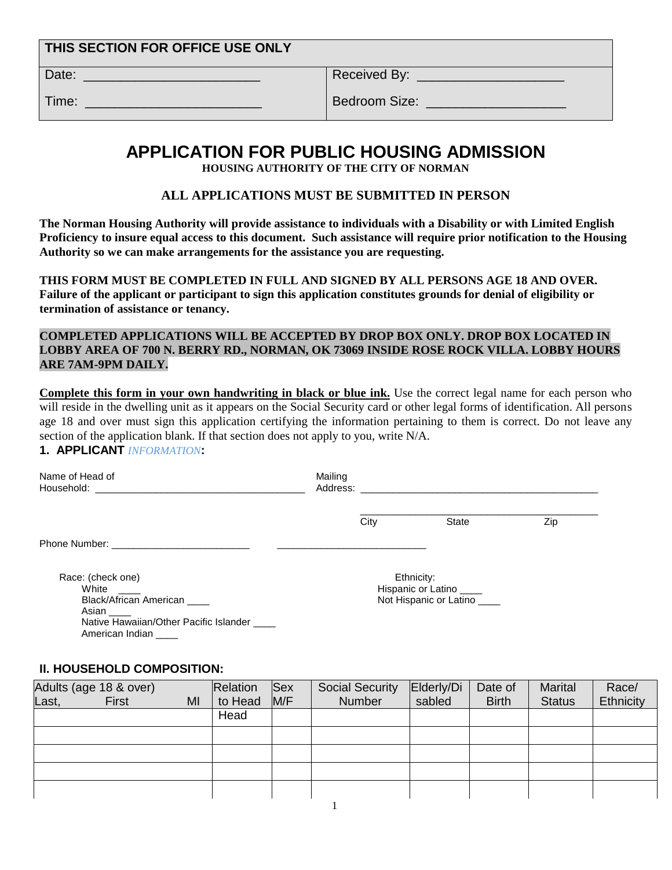| THIS SECTION FOR OFFICE USE ONLY |               |
|----------------------------------|---------------|
| Date:                            | Received By:  |
| Time:                            | Bedroom Size: |

# **APPLICATION FOR PUBLIC HOUSING ADMISSION**

**HOUSING AUTHORITY OF THE CITY OF NORMAN**

### **ALL APPLICATIONS MUST BE SUBMITTED IN PERSON**

**The Norman Housing Authority will provide assistance to individuals with a Disability or with Limited English Proficiency to insure equal access to this document. Such assistance will require prior notification to the Housing Authority so we can make arrangements for the assistance you are requesting.** 

**THIS FORM MUST BE COMPLETED IN FULL AND SIGNED BY ALL PERSONS AGE 18 AND OVER. Failure of the applicant or participant to sign this application constitutes grounds for denial of eligibility or termination of assistance or tenancy.**

**COMPLETED APPLICATIONS WILL BE ACCEPTED BY DROP BOX ONLY. DROP BOX LOCATED IN LOBBY AREA OF 700 N. BERRY RD., NORMAN, OK 73069 INSIDE ROSE ROCK VILLA. LOBBY HOURS ARE 7AM-9PM DAILY.**

**Complete this form in your own handwriting in black or blue ink.** Use the correct legal name for each person who will reside in the dwelling unit as it appears on the Social Security card or other legal forms of identification. All persons age 18 and over must sign this application certifying the information pertaining to them is correct. Do not leave any section of the application blank. If that section does not apply to you, write N/A.

## **1. APPLICANT** *INFORMATION***:**

| Name of Head of                                                        | Mailing |      |                                                                 |     |
|------------------------------------------------------------------------|---------|------|-----------------------------------------------------------------|-----|
|                                                                        |         | City | <b>State</b>                                                    | Zip |
|                                                                        |         |      |                                                                 |     |
| Race: (check one)<br>White<br>Black/African American                   |         |      | Ethnicity:<br>Hispanic or Latino<br>Not Hispanic or Latino ____ |     |
| Asian<br>Native Hawaiian/Other Pacific Islander<br>American Indian ___ |         |      |                                                                 |     |

#### **II. HOUSEHOLD COMPOSITION:**

|       | Adults (age 18 & over) |    | Relation | <b>Sex</b> | <b>Social Security</b> | Elderly/Di | Date of      | <b>Marital</b> | Race/     |
|-------|------------------------|----|----------|------------|------------------------|------------|--------------|----------------|-----------|
| Last, | <b>First</b>           | MI | to Head  | M/F        | <b>Number</b>          | sabled     | <b>Birth</b> | <b>Status</b>  | Ethnicity |
|       |                        |    | Head     |            |                        |            |              |                |           |
|       |                        |    |          |            |                        |            |              |                |           |
|       |                        |    |          |            |                        |            |              |                |           |
|       |                        |    |          |            |                        |            |              |                |           |
|       |                        |    |          |            |                        |            |              |                |           |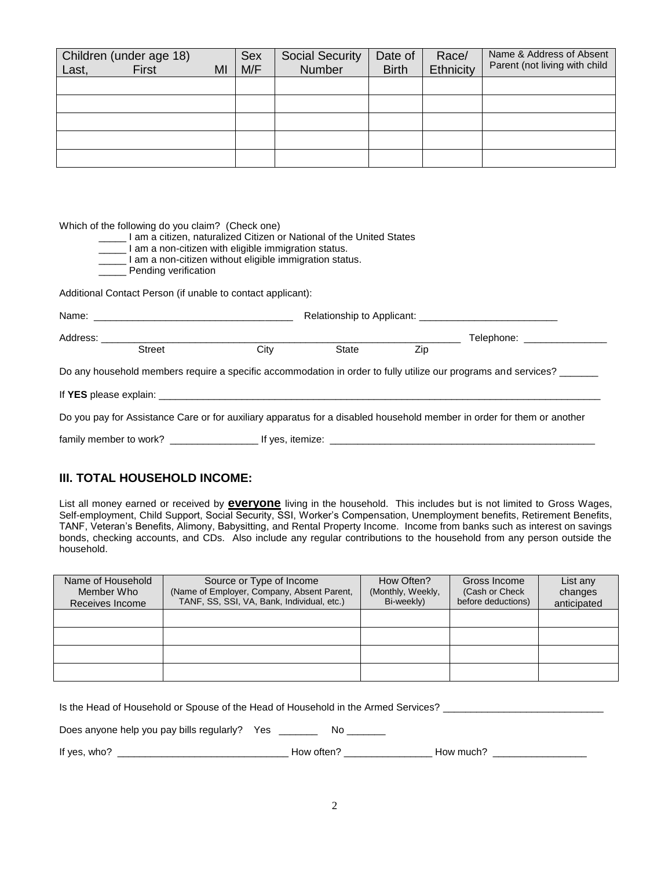| Last, | Children (under age 18)<br>First | MI | <b>Sex</b><br>M/F | <b>Social Security</b><br><b>Number</b> | Date of<br><b>Birth</b> | Race/<br>Ethnicity | Name & Address of Absent<br>Parent (not living with child |
|-------|----------------------------------|----|-------------------|-----------------------------------------|-------------------------|--------------------|-----------------------------------------------------------|
|       |                                  |    |                   |                                         |                         |                    |                                                           |
|       |                                  |    |                   |                                         |                         |                    |                                                           |
|       |                                  |    |                   |                                         |                         |                    |                                                           |
|       |                                  |    |                   |                                         |                         |                    |                                                           |
|       |                                  |    |                   |                                         |                         |                    |                                                           |

Which of the following do you claim? (Check one)

- \_\_\_\_\_ I am a citizen, naturalized Citizen or National of the United States
- $\overline{\phantom{a}}$  I am a non-citizen with eligible immigration status.
- \_\_\_\_\_ I am a non-citizen without eligible immigration status.
- \_ Pending verification

Additional Contact Person (if unable to contact applicant):

| Address: Andreas Address and Address and Address and Address and Address and Address and Address and Address a |               |      |                                                                                                                                                                                                                               |     | Telephone: Network and the set of the set of the set of the set of the set of the set of the set of the set of         |
|----------------------------------------------------------------------------------------------------------------|---------------|------|-------------------------------------------------------------------------------------------------------------------------------------------------------------------------------------------------------------------------------|-----|------------------------------------------------------------------------------------------------------------------------|
|                                                                                                                | <b>Street</b> | City | State                                                                                                                                                                                                                         | Zip |                                                                                                                        |
|                                                                                                                |               |      |                                                                                                                                                                                                                               |     | Do any household members require a specific accommodation in order to fully utilize our programs and services?         |
|                                                                                                                |               |      |                                                                                                                                                                                                                               |     |                                                                                                                        |
|                                                                                                                |               |      |                                                                                                                                                                                                                               |     | Do you pay for Assistance Care or for auxiliary apparatus for a disabled household member in order for them or another |
|                                                                                                                |               |      | If yes, itemize: the contract of the contract of the contract of the contract of the contract of the contract of the contract of the contract of the contract of the contract of the contract of the contract of the contract |     |                                                                                                                        |

#### **III. TOTAL HOUSEHOLD INCOME:**

List all money earned or received by **everyone** living in the household. This includes but is not limited to Gross Wages, Self-employment, Child Support, Social Security, SSI, Worker's Compensation, Unemployment benefits, Retirement Benefits, TANF, Veteran's Benefits, Alimony, Babysitting, and Rental Property Income. Income from banks such as interest on savings bonds, checking accounts, and CDs. Also include any regular contributions to the household from any person outside the household.

| Name of Household<br>Member Who<br>Receives Income | Source or Type of Income<br>(Name of Employer, Company, Absent Parent,<br>TANF, SS, SSI, VA, Bank, Individual, etc.) | How Often?<br>(Monthly, Weekly,<br>Bi-weekly) | Gross Income<br>(Cash or Check)<br>before deductions) | List any<br>changes<br>anticipated |
|----------------------------------------------------|----------------------------------------------------------------------------------------------------------------------|-----------------------------------------------|-------------------------------------------------------|------------------------------------|
|                                                    |                                                                                                                      |                                               |                                                       |                                    |
|                                                    |                                                                                                                      |                                               |                                                       |                                    |
|                                                    |                                                                                                                      |                                               |                                                       |                                    |
|                                                    |                                                                                                                      |                                               |                                                       |                                    |

| Is the Head of Household or Spouse of the Head of Household in the Armed Services? |            |           |  |  |
|------------------------------------------------------------------------------------|------------|-----------|--|--|
| Does anyone help you pay bills regularly? Yes                                      | NO.        |           |  |  |
| If yes, who?                                                                       | How often? | How much? |  |  |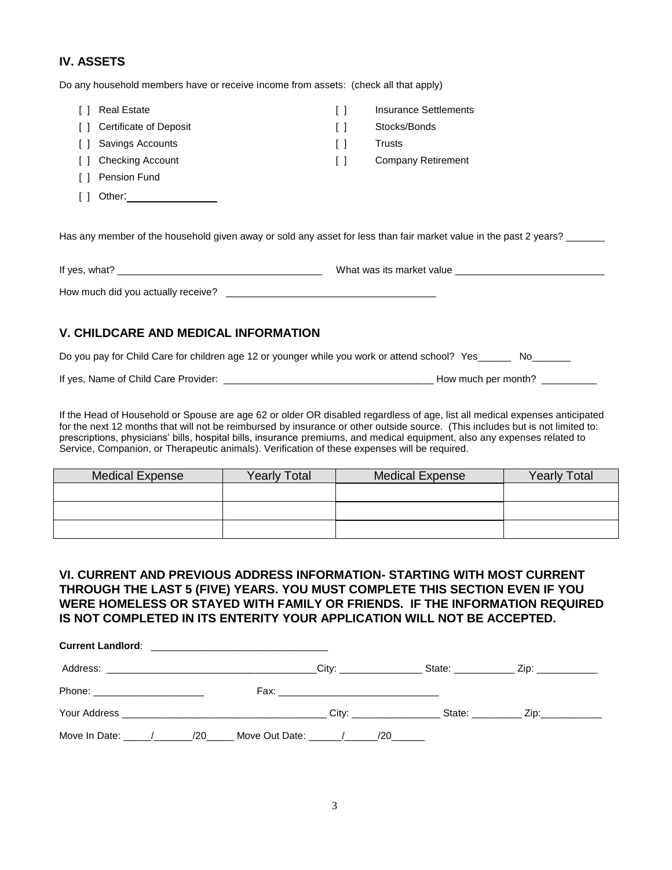#### **IV. ASSETS**

Do any household members have or receive income from assets: (check all that apply)

| $\mathbf{1}$ | <b>Real Estate</b>            | Insurance Settlements |
|--------------|-------------------------------|-----------------------|
| $\Box$       | <b>Certificate of Deposit</b> | Stocks/Bonds          |
| -1-1         | Savings Accounts              | <b>Trusts</b>         |
| - 1 - 1      | <b>Checking Account</b>       | Company Retirement    |
| $\Box$       | Pension Fund                  |                       |
|              | Other:                        |                       |

Has any member of the household given away or sold any asset for less than fair market value in the past 2 years? \_\_\_\_\_\_

| If yes, what?                      | What was its market value |
|------------------------------------|---------------------------|
| How much did you actually receive? |                           |

#### **V. CHILDCARE AND MEDICAL INFORMATION**

Do you pay for Child Care for children age 12 or younger while you work or attend school? Yes\_\_\_\_\_\_ No\_\_\_\_\_\_

If yes, Name of Child Care Provider: \_\_\_\_\_\_\_\_\_\_\_\_\_\_\_\_\_\_\_\_\_\_\_\_\_\_\_\_\_\_\_\_\_\_\_\_\_\_ How much per month? \_\_\_\_\_\_\_\_\_\_

If the Head of Household or Spouse are age 62 or older OR disabled regardless of age, list all medical expenses anticipated for the next 12 months that will not be reimbursed by insurance or other outside source. (This includes but is not limited to: prescriptions, physicians' bills, hospital bills, insurance premiums, and medical equipment, also any expenses related to Service, Companion, or Therapeutic animals). Verification of these expenses will be required.

| <b>Medical Expense</b> | <b>Yearly Total</b> | <b>Medical Expense</b> | <b>Yearly Total</b> |
|------------------------|---------------------|------------------------|---------------------|
|                        |                     |                        |                     |
|                        |                     |                        |                     |
|                        |                     |                        |                     |

#### **VI. CURRENT AND PREVIOUS ADDRESS INFORMATION- STARTING WITH MOST CURRENT THROUGH THE LAST 5 (FIVE) YEARS. YOU MUST COMPLETE THIS SECTION EVEN IF YOU WERE HOMELESS OR STAYED WITH FAMILY OR FRIENDS. IF THE INFORMATION REQUIRED IS NOT COMPLETED IN ITS ENTERITY YOUR APPLICATION WILL NOT BE ACCEPTED.**

| Address: City: City: City: City: City: City: City: City: City: City: City: City: City: City: City: City: City: City: City: City: City: City: City: City: City: City: City: City: City: City: City: City: City: City: City: Cit |  |  | State: _______________ Zip: ____________ |  |
|--------------------------------------------------------------------------------------------------------------------------------------------------------------------------------------------------------------------------------|--|--|------------------------------------------|--|
|                                                                                                                                                                                                                                |  |  |                                          |  |
|                                                                                                                                                                                                                                |  |  |                                          |  |
| Move In Date: $\qquad$ / 20 Move Out Date: $\qquad$ / 20                                                                                                                                                                       |  |  |                                          |  |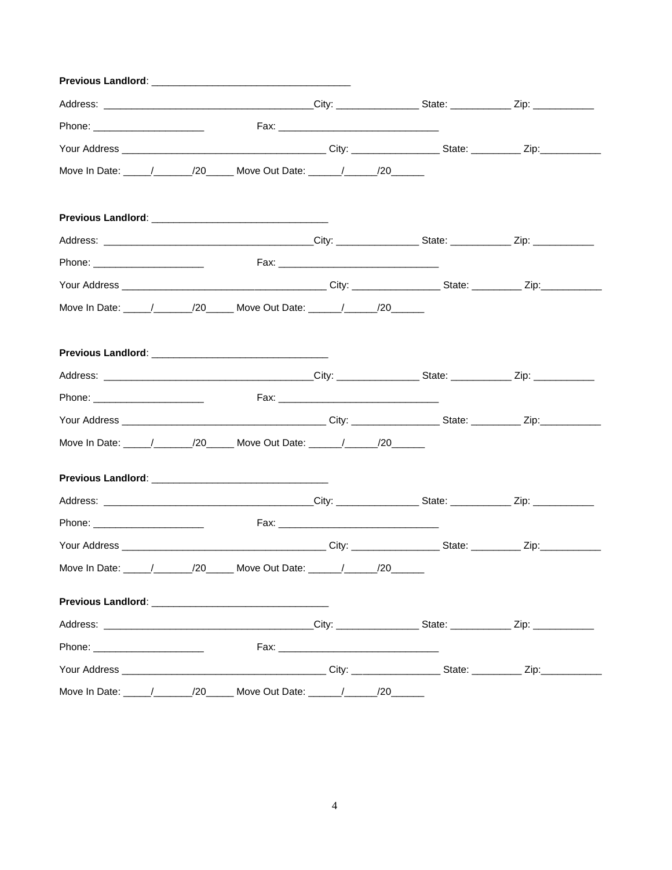| Previous Landlord: with a state of the control of the control of the control of the control of the control of the control of the control of the control of the control of the control of the control of the control of the con |                                        |  |  |
|--------------------------------------------------------------------------------------------------------------------------------------------------------------------------------------------------------------------------------|----------------------------------------|--|--|
|                                                                                                                                                                                                                                |                                        |  |  |
|                                                                                                                                                                                                                                |                                        |  |  |
|                                                                                                                                                                                                                                |                                        |  |  |
| Move In Date: _____/_________/20_______ Move Out Date: _______/_______/20_______                                                                                                                                               |                                        |  |  |
|                                                                                                                                                                                                                                |                                        |  |  |
|                                                                                                                                                                                                                                |                                        |  |  |
|                                                                                                                                                                                                                                |                                        |  |  |
|                                                                                                                                                                                                                                |                                        |  |  |
|                                                                                                                                                                                                                                |                                        |  |  |
|                                                                                                                                                                                                                                |                                        |  |  |
|                                                                                                                                                                                                                                |                                        |  |  |
|                                                                                                                                                                                                                                |                                        |  |  |
|                                                                                                                                                                                                                                |                                        |  |  |
| Move In Date: _____/_________/20_______ Move Out Date: _______/_______/20_______                                                                                                                                               |                                        |  |  |
|                                                                                                                                                                                                                                |                                        |  |  |
|                                                                                                                                                                                                                                |                                        |  |  |
| Phone: _______________________                                                                                                                                                                                                 |                                        |  |  |
|                                                                                                                                                                                                                                |                                        |  |  |
| Move In Date: ______/_________/20______ Move Out Date: _______/_______/20_______                                                                                                                                               |                                        |  |  |
|                                                                                                                                                                                                                                |                                        |  |  |
|                                                                                                                                                                                                                                |                                        |  |  |
| Phone: _________________________                                                                                                                                                                                               |                                        |  |  |
|                                                                                                                                                                                                                                |                                        |  |  |
|                                                                                                                                                                                                                                | Move Out Date: ______/______/20_______ |  |  |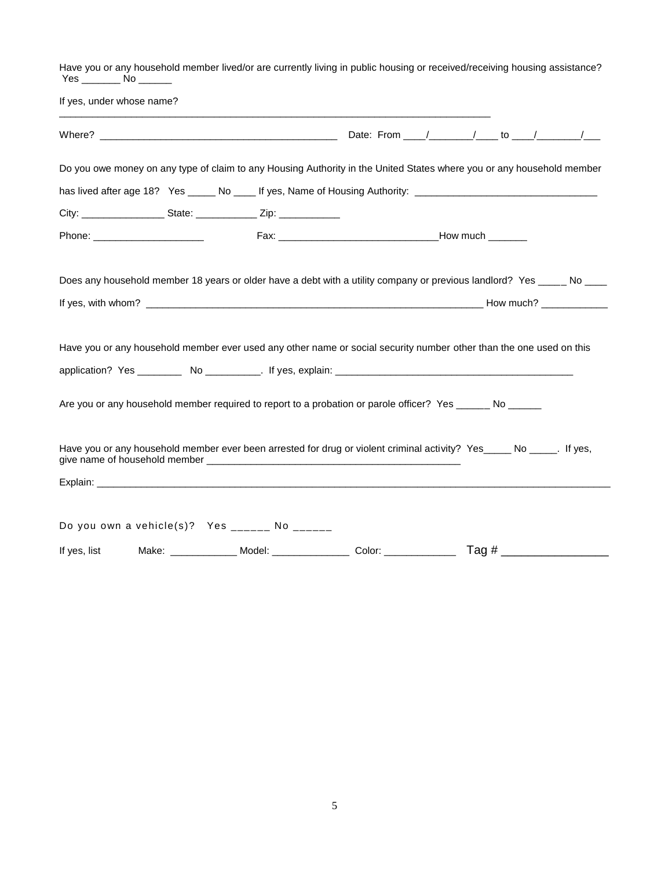Have you or any household member lived/or are currently living in public housing or received/receiving housing assistance? Yes \_\_\_\_\_\_\_ No \_\_\_\_\_\_

| If yes, under whose name? |                                                                                  | <u> 1989 - Johann Stein, marwolaethau a bhann an t-Amhain ann an t-Amhain an t-Amhain an t-Amhain an t-Amhain an </u>                                                                                                           |  |  |
|---------------------------|----------------------------------------------------------------------------------|---------------------------------------------------------------------------------------------------------------------------------------------------------------------------------------------------------------------------------|--|--|
|                           |                                                                                  |                                                                                                                                                                                                                                 |  |  |
|                           |                                                                                  | Do you owe money on any type of claim to any Housing Authority in the United States where you or any household member                                                                                                           |  |  |
|                           |                                                                                  | has lived after age 18? Yes _____ No ____ If yes, Name of Housing Authority: _________________________________                                                                                                                  |  |  |
|                           | City: _________________________State: ______________________Zip: _______________ |                                                                                                                                                                                                                                 |  |  |
|                           |                                                                                  |                                                                                                                                                                                                                                 |  |  |
|                           |                                                                                  | Does any household member 18 years or older have a debt with a utility company or previous landlord? Yes _____ No ____                                                                                                          |  |  |
|                           |                                                                                  |                                                                                                                                                                                                                                 |  |  |
|                           |                                                                                  | Have you or any household member ever used any other name or social security number other than the one used on this<br>Are you or any household member required to report to a probation or parole officer? Yes ______ No _____ |  |  |
|                           |                                                                                  | Have you or any household member ever been arrested for drug or violent criminal activity? Yes_____ No _____. If yes,                                                                                                           |  |  |
|                           |                                                                                  |                                                                                                                                                                                                                                 |  |  |
|                           |                                                                                  |                                                                                                                                                                                                                                 |  |  |
|                           | Do you own a vehicle(s)? Yes ______ No ______                                    |                                                                                                                                                                                                                                 |  |  |